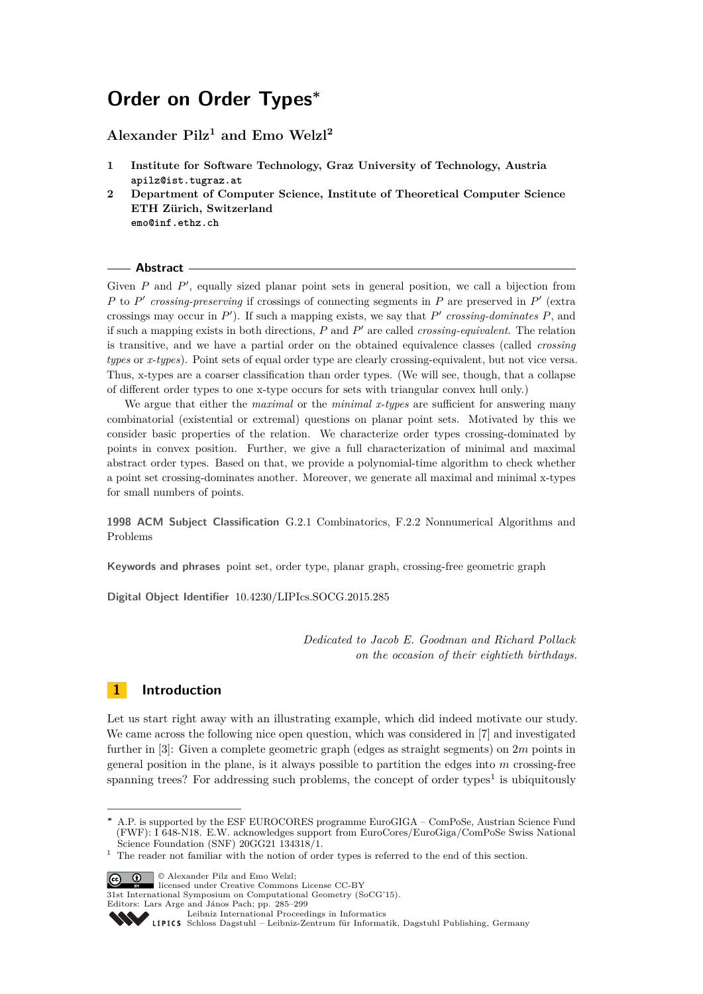## **Alexander Pilz<sup>1</sup> and Emo Welzl<sup>2</sup>**

- **1 Institute for Software Technology, Graz University of Technology, Austria apilz@ist.tugraz.at**
- **2 Department of Computer Science, Institute of Theoretical Computer Science ETH Zürich, Switzerland emo@inf.ethz.ch**

#### **Abstract**

Given  $P$  and  $P'$ , equally sized planar point sets in general position, we call a bijection from *P* to *P*<sup> $\prime$ </sup> crossing-preserving if crossings of connecting segments in *P* are preserved in *P*<sup> $\prime$ </sup> (extra crossings may occur in  $P'$ ). If such a mapping exists, we say that  $P'$  crossing-dominates  $P$ , and if such a mapping exists in both directions, P and P' are called *crossing-equivalent*. The relation is transitive, and we have a partial order on the obtained equivalence classes (called *crossing types* or *x-types*). Point sets of equal order type are clearly crossing-equivalent, but not vice versa. Thus, x-types are a coarser classification than order types. (We will see, though, that a collapse of different order types to one x-type occurs for sets with triangular convex hull only.)

We argue that either the *maximal* or the *minimal x-types* are sufficient for answering many combinatorial (existential or extremal) questions on planar point sets. Motivated by this we consider basic properties of the relation. We characterize order types crossing-dominated by points in convex position. Further, we give a full characterization of minimal and maximal abstract order types. Based on that, we provide a polynomial-time algorithm to check whether a point set crossing-dominates another. Moreover, we generate all maximal and minimal x-types for small numbers of points.

**1998 ACM Subject Classification** G.2.1 Combinatorics, F.2.2 Nonnumerical Algorithms and Problems

**Keywords and phrases** point set, order type, planar graph, crossing-free geometric graph

**Digital Object Identifier** [10.4230/LIPIcs.SOCG.2015.285](http://dx.doi.org/10.4230/LIPIcs.SOCG.2015.285)

*Dedicated to Jacob E. Goodman and Richard Pollack on the occasion of their eightieth birthdays.*

# **1 Introduction**

Let us start right away with an illustrating example, which did indeed motivate our study. We came across the following nice open question, which was considered in [\[7\]](#page-14-0) and investigated further in [\[3\]](#page-14-1): Given a complete geometric graph (edges as straight segments) on 2*m* points in general position in the plane, is it always possible to partition the edges into *m* crossing-free spanning trees? For addressing such problems, the concept of order types<sup>[1](#page-0-0)</sup> is ubiquitously

© Alexander Pilz and Emo Welzl; licensed under Creative Commons License CC-BY

31st International Symposium on Computational Geometry (SoCG'15).

Editors: Lars Arge and János Pach; pp. 285[–299](#page-14-2)

**<sup>∗</sup>** A.P. is supported by the ESF EUROCORES programme EuroGIGA – ComPoSe, Austrian Science Fund (FWF): I 648-N18. E.W. acknowledges support from EuroCores/EuroGiga/ComPoSe Swiss National Science Foundation (SNF) 20GG21 134318/1.

<span id="page-0-0"></span> $<sup>1</sup>$  The reader not familiar with the notion of order types is referred to the end of this section.</sup>

[Leibniz International Proceedings in Informatics](http://www.dagstuhl.de/lipics/)

Leibniz international ruceedings in miorimetric<br>
LIPICS [Schloss Dagstuhl – Leibniz-Zentrum für Informatik, Dagstuhl Publishing, Germany](http://www.dagstuhl.de)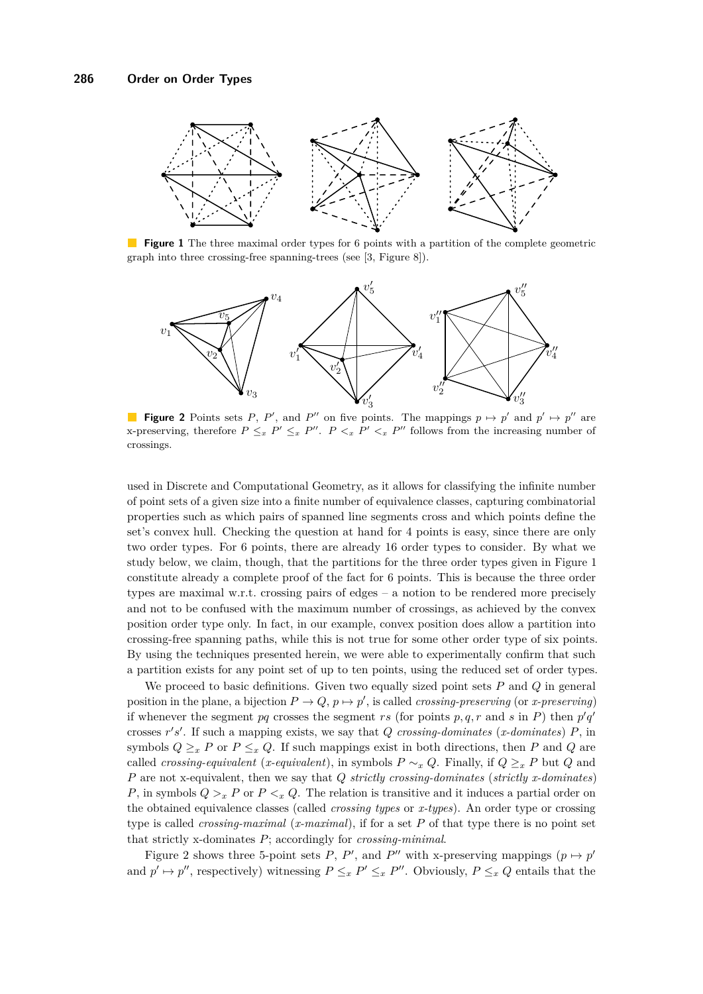<span id="page-1-0"></span>

**Figure 1** The three maximal order types for 6 points with a partition of the complete geometric graph into three crossing-free spanning-trees (see [\[3,](#page-14-1) Figure 8]).

<span id="page-1-1"></span>

**Figure 2** Points sets *P*, *P'*, and *P''* on five points. The mappings  $p \mapsto p'$  and  $p' \mapsto p''$  are x-preserving, therefore  $P \leq_x P' \leq_x P''$ .  $P \leq_x P' \leq_x P''$  follows from the increasing number of crossings.

used in Discrete and Computational Geometry, as it allows for classifying the infinite number of point sets of a given size into a finite number of equivalence classes, capturing combinatorial properties such as which pairs of spanned line segments cross and which points define the set's convex hull. Checking the question at hand for 4 points is easy, since there are only two order types. For 6 points, there are already 16 order types to consider. By what we study below, we claim, though, that the partitions for the three order types given in Figure [1](#page-1-0) constitute already a complete proof of the fact for 6 points. This is because the three order types are maximal w.r.t. crossing pairs of edges – a notion to be rendered more precisely and not to be confused with the maximum number of crossings, as achieved by the convex position order type only. In fact, in our example, convex position does allow a partition into crossing-free spanning paths, while this is not true for some other order type of six points. By using the techniques presented herein, we were able to experimentally confirm that such a partition exists for any point set of up to ten points, using the reduced set of order types.

We proceed to basic definitions. Given two equally sized point sets *P* and *Q* in general position in the plane, a bijection  $P \to Q$ ,  $p \mapsto p'$ , is called *crossing-preserving* (or *x-preserving*) if whenever the segment  $pq$  crosses the segment  $rs$  (for points  $p, q, r$  and  $s$  in  $P$ ) then  $p'q'$ crosses r's'. If such a mapping exists, we say that *Q* crossing-dominates (*x*-dominates) *P*, in symbols  $Q \geq_x P$  or  $P \leq_x Q$ . If such mappings exist in both directions, then P and Q are called *crossing-equivalent* (*x-equivalent*), in symbols  $P \sim_x Q$ . Finally, if  $Q \geq_x P$  but  $Q$  and *P* are not x-equivalent, then we say that *Q strictly crossing-dominates* (*strictly x-dominates*) *P*, in symbols  $Q >_{x} P$  or  $P <_{x} Q$ . The relation is transitive and it induces a partial order on the obtained equivalence classes (called *crossing types* or *x-types*). An order type or crossing type is called *crossing-maximal* (*x-maximal*), if for a set *P* of that type there is no point set that strictly x-dominates *P*; accordingly for *crossing-minimal*.

Figure [2](#page-1-1) shows three 5-point sets P, P', and P'' with x-preserving mappings  $(p \mapsto p'$ and  $p' \mapsto p''$ , respectively) witnessing  $P \leq_x P' \leq_x P''$ . Obviously,  $P \leq_x Q$  entails that the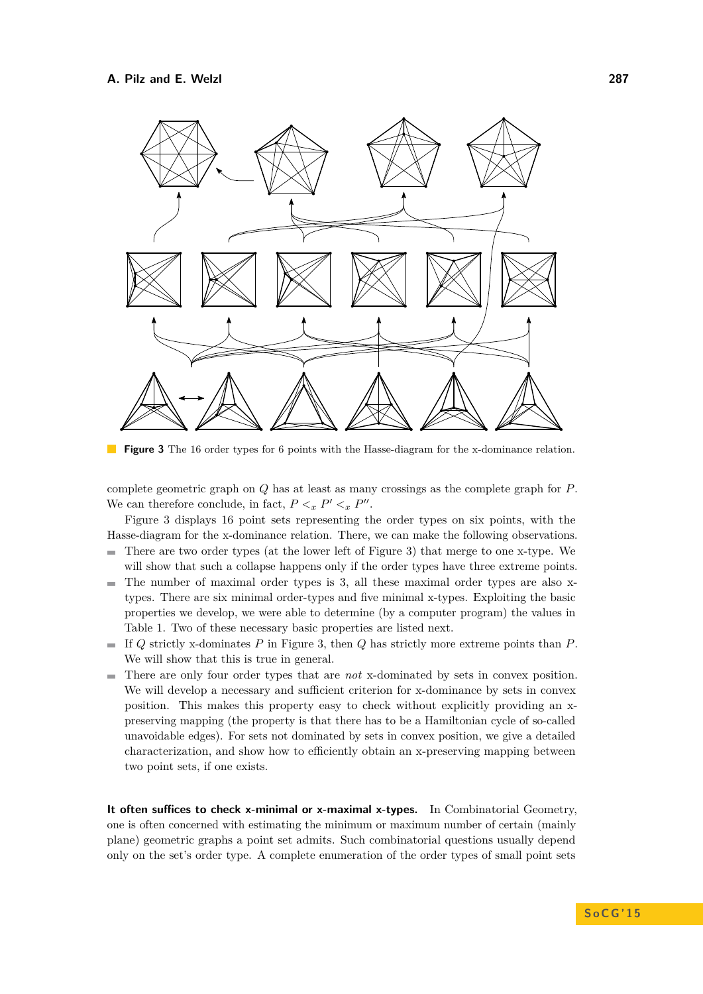<span id="page-2-0"></span>

**Figure 3** The 16 order types for 6 points with the Hasse-diagram for the x-dominance relation.

complete geometric graph on *Q* has at least as many crossings as the complete graph for *P*. We can therefore conclude, in fact,  $P \leq_x P' \leq_x P''$ .

Figure [3](#page-2-0) displays 16 point sets representing the order types on six points, with the Hasse-diagram for the x-dominance relation. There, we can make the following observations.

- There are two order types (at the lower left of Figure [3\)](#page-2-0) that merge to one x-type. We  $\blacksquare$ will show that such a collapse happens only if the order types have three extreme points.
- The number of maximal order types is 3, all these maximal order types are also x- $\sim$ types. There are six minimal order-types and five minimal x-types. Exploiting the basic properties we develop, we were able to determine (by a computer program) the values in Table [1.](#page-3-0) Two of these necessary basic properties are listed next.
- If  $Q$  strictly x-dominates  $P$  in Figure [3,](#page-2-0) then  $Q$  has strictly more extreme points than  $P$ . We will show that this is true in general.
- There are only four order types that are *not* x-dominated by sets in convex position. We will develop a necessary and sufficient criterion for x-dominance by sets in convex position. This makes this property easy to check without explicitly providing an xpreserving mapping (the property is that there has to be a Hamiltonian cycle of so-called unavoidable edges). For sets not dominated by sets in convex position, we give a detailed characterization, and show how to efficiently obtain an x-preserving mapping between two point sets, if one exists.

**It often suffices to check x-minimal or x-maximal x-types.** In Combinatorial Geometry, one is often concerned with estimating the minimum or maximum number of certain (mainly plane) geometric graphs a point set admits. Such combinatorial questions usually depend only on the set's order type. A complete enumeration of the order types of small point sets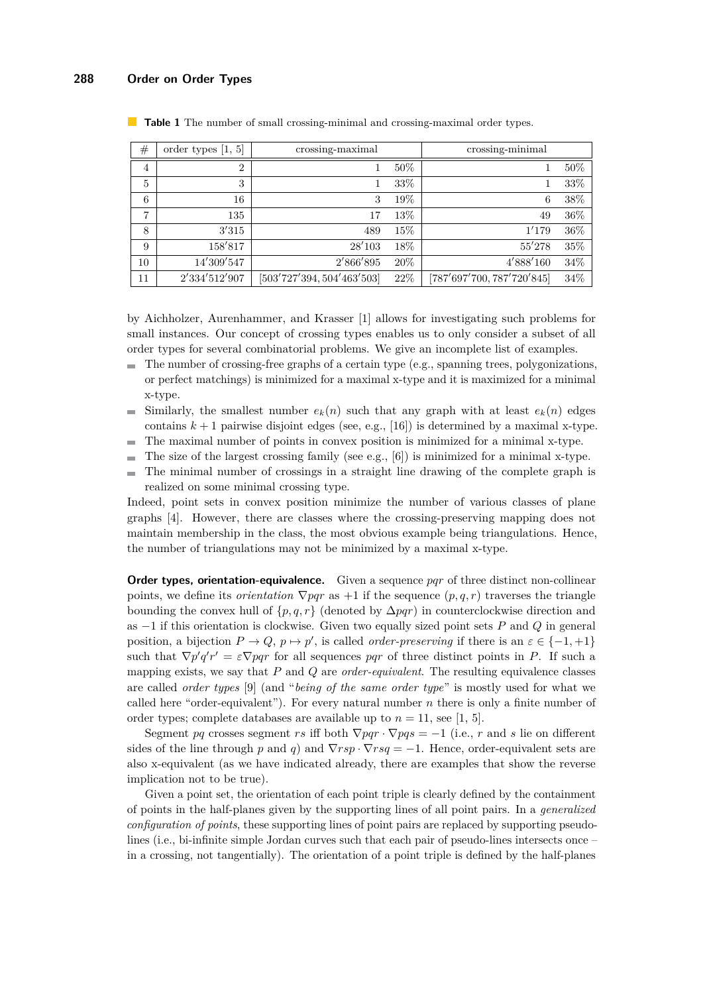| $\#$           | order types $[1, 5]$ | crossing-maximal           |     | crossing-minimal             |        |
|----------------|----------------------|----------------------------|-----|------------------------------|--------|
| $\overline{4}$ | $\overline{2}$       |                            | 50% |                              | $50\%$ |
| 5              | 3                    |                            | 33% |                              | 33%    |
| 6              | 16                   | 3                          | 19% | 6                            | $38\%$ |
| 7              | 135                  | 17                         | 13% | 49                           | $36\%$ |
| 8              | 3'315                | 489                        | 15% | 1'179                        | $36\%$ |
| 9              | 158'817              | 28'103                     | 18% | 55'278                       | $35\%$ |
| 10             | 14'309'547           | 2'866'895                  | 20% | 4'888'160                    | 34%    |
| 11             | 2'334'512'907        | [503'727'394, 504'463'503] | 22% | $[787'697'700, 787'720'845]$ | $34\%$ |

<span id="page-3-0"></span>**Table 1** The number of small crossing-minimal and crossing-maximal order types.

by Aichholzer, Aurenhammer, and Krasser [\[1\]](#page-14-3) allows for investigating such problems for small instances. Our concept of crossing types enables us to only consider a subset of all order types for several combinatorial problems. We give an incomplete list of examples.

- $\blacksquare$  The number of crossing-free graphs of a certain type (e.g., spanning trees, polygonizations, or perfect matchings) is minimized for a maximal x-type and it is maximized for a minimal x-type.
- Similarly, the smallest number  $e_k(n)$  such that any graph with at least  $e_k(n)$  edges  $\equiv$ contains  $k+1$  pairwise disjoint edges (see, e.g., [\[16\]](#page-14-5)) is determined by a maximal x-type.
- The maximal number of points in convex position is minimized for a minimal x-type.  $\blacksquare$
- The size of the largest crossing family (see e.g., [\[6\]](#page-14-6)) is minimized for a minimal x-type.
- The minimal number of crossings in a straight line drawing of the complete graph is  $\blacksquare$ realized on some minimal crossing type.

Indeed, point sets in convex position minimize the number of various classes of plane graphs [\[4\]](#page-14-7). However, there are classes where the crossing-preserving mapping does not maintain membership in the class, the most obvious example being triangulations. Hence, the number of triangulations may not be minimized by a maximal x-type.

**Order types, orientation-equivalence.** Given a sequence *pqr* of three distinct non-collinear points, we define its *orientation*  $\nabla pqr$  as  $+1$  if the sequence  $(p, q, r)$  traverses the triangle bounding the convex hull of  $\{p,q,r\}$  (denoted by  $\Delta pqr$ ) in counterclockwise direction and as −1 if this orientation is clockwise. Given two equally sized point sets *P* and *Q* in general position, a bijection  $P \to Q$ ,  $p \mapsto p'$ , is called *order-preserving* if there is an  $\varepsilon \in \{-1, +1\}$ such that  $\nabla p' q' r' = \varepsilon \nabla p q r$  for all sequences *pqr* of three distinct points in *P*. If such a mapping exists, we say that *P* and *Q* are *order-equivalent*. The resulting equivalence classes are called *order types* [\[9\]](#page-14-8) (and "*being of the same order type*" is mostly used for what we called here "order-equivalent"). For every natural number *n* there is only a finite number of order types; complete databases are available up to  $n = 11$ , see [\[1,](#page-14-3) [5\]](#page-14-4).

Segment *pq* crosses segment *rs* iff both  $\nabla pqr \cdot \nabla pqs = -1$  (i.e., *r* and *s* lie on different sides of the line through *p* and *q*) and  $\nabla$ *rsp* ·  $\nabla$ *rsq* = -1. Hence, order-equivalent sets are also x-equivalent (as we have indicated already, there are examples that show the reverse implication not to be true).

Given a point set, the orientation of each point triple is clearly defined by the containment of points in the half-planes given by the supporting lines of all point pairs. In a *generalized configuration of points*, these supporting lines of point pairs are replaced by supporting pseudolines (i.e., bi-infinite simple Jordan curves such that each pair of pseudo-lines intersects once – in a crossing, not tangentially). The orientation of a point triple is defined by the half-planes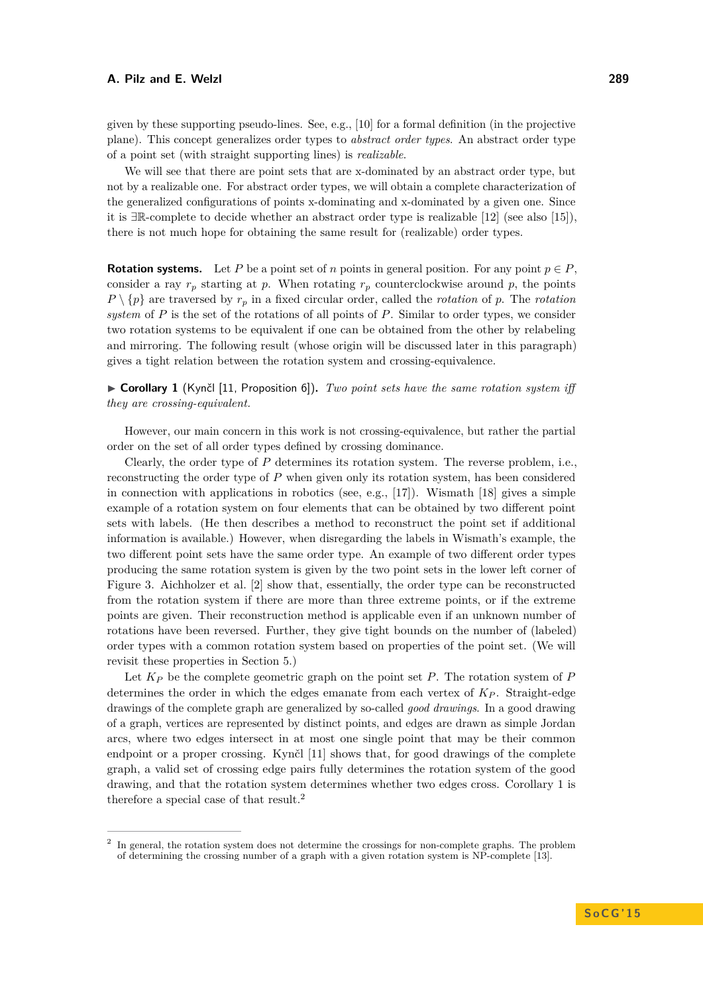given by these supporting pseudo-lines. See, e.g., [\[10\]](#page-14-9) for a formal definition (in the projective plane). This concept generalizes order types to *abstract order types*. An abstract order type of a point set (with straight supporting lines) is *realizable*.

We will see that there are point sets that are x-dominated by an abstract order type, but not by a realizable one. For abstract order types, we will obtain a complete characterization of the generalized configurations of points x-dominating and x-dominated by a given one. Since it is ∃R-complete to decide whether an abstract order type is realizable [\[12\]](#page-14-10) (see also [\[15\]](#page-14-11)), there is not much hope for obtaining the same result for (realizable) order types.

**Rotation systems.** Let *P* be a point set of *n* points in general position. For any point  $p \in P$ , consider a ray  $r_p$  starting at p. When rotating  $r_p$  counterclockwise around p, the points  $P \setminus \{p\}$  are traversed by  $r_p$  in a fixed circular order, called the *rotation* of *p*. The *rotation system* of *P* is the set of the rotations of all points of *P*. Similar to order types, we consider two rotation systems to be equivalent if one can be obtained from the other by relabeling and mirroring. The following result (whose origin will be discussed later in this paragraph) gives a tight relation between the rotation system and crossing-equivalence.

<span id="page-4-0"></span> $\triangleright$  **Corollary 1** (Kynčl [\[11,](#page-14-12) Proposition 6]). *Two point sets have the same rotation system iff they are crossing-equivalent.*

However, our main concern in this work is not crossing-equivalence, but rather the partial order on the set of all order types defined by crossing dominance.

Clearly, the order type of *P* determines its rotation system. The reverse problem, i.e., reconstructing the order type of *P* when given only its rotation system, has been considered in connection with applications in robotics (see, e.g.,  $[17]$ ). Wismath  $[18]$  gives a simple example of a rotation system on four elements that can be obtained by two different point sets with labels. (He then describes a method to reconstruct the point set if additional information is available.) However, when disregarding the labels in Wismath's example, the two different point sets have the same order type. An example of two different order types producing the same rotation system is given by the two point sets in the lower left corner of Figure [3.](#page-2-0) Aichholzer et al. [\[2\]](#page-14-15) show that, essentially, the order type can be reconstructed from the rotation system if there are more than three extreme points, or if the extreme points are given. Their reconstruction method is applicable even if an unknown number of rotations have been reversed. Further, they give tight bounds on the number of (labeled) order types with a common rotation system based on properties of the point set. (We will revisit these properties in Section [5.](#page-10-0))

Let *K<sup>P</sup>* be the complete geometric graph on the point set *P*. The rotation system of *P* determines the order in which the edges emanate from each vertex of  $K_P$ . Straight-edge drawings of the complete graph are generalized by so-called *good drawings*. In a good drawing of a graph, vertices are represented by distinct points, and edges are drawn as simple Jordan arcs, where two edges intersect in at most one single point that may be their common endpoint or a proper crossing. Kynčl [\[11\]](#page-14-12) shows that, for good drawings of the complete graph, a valid set of crossing edge pairs fully determines the rotation system of the good drawing, and that the rotation system determines whether two edges cross. Corollary [1](#page-4-0) is therefore a special case of that result.[2](#page-4-1)

<span id="page-4-1"></span><sup>2</sup> In general, the rotation system does not determine the crossings for non-complete graphs. The problem of determining the crossing number of a graph with a given rotation system is NP-complete [\[13\]](#page-14-16).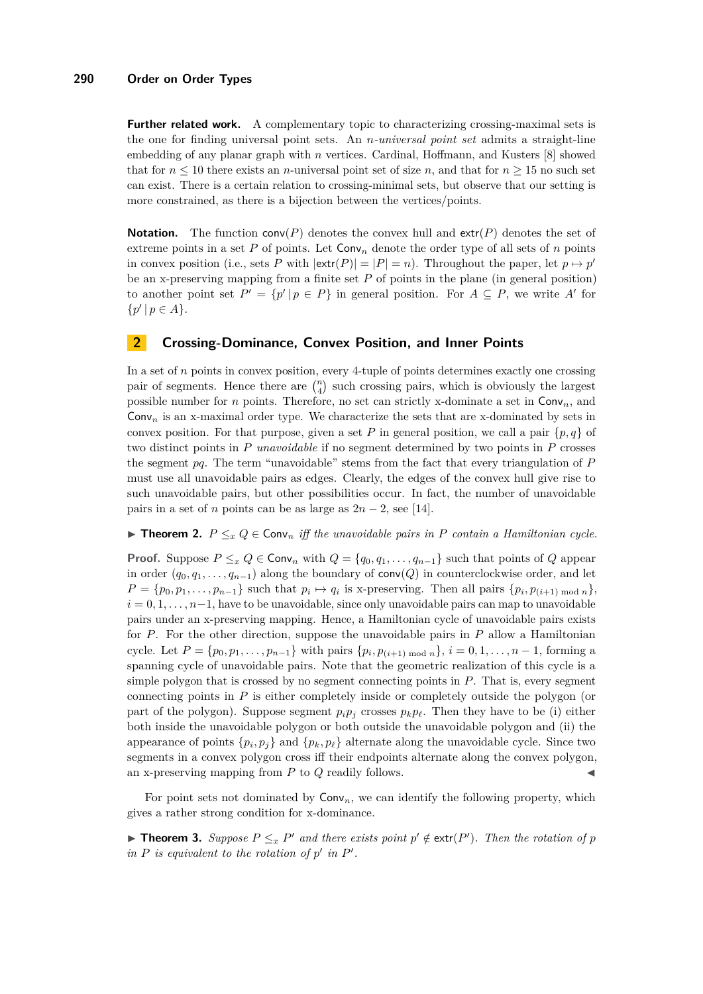**Further related work.** A complementary topic to characterizing crossing-maximal sets is the one for finding universal point sets. An *n-universal point set* admits a straight-line embedding of any planar graph with *n* vertices. Cardinal, Hoffmann, and Kusters [\[8\]](#page-14-17) showed that for  $n \leq 10$  there exists an *n*-universal point set of size *n*, and that for  $n \geq 15$  no such set can exist. There is a certain relation to crossing-minimal sets, but observe that our setting is more constrained, as there is a bijection between the vertices/points.

**Notation.** The function conv(*P*) denotes the convex hull and  $ext(P)$  denotes the set of extreme points in a set  $P$  of points. Let  $Conv_n$  denote the order type of all sets of  $n$  points in convex position (i.e., sets *P* with  $|\text{extr}(P)| = |P| = n$ ). Throughout the paper, let  $p \mapsto p'$ be an x-preserving mapping from a finite set *P* of points in the plane (in general position) to another point set  $P' = \{p' | p \in P\}$  in general position. For  $A \subseteq P$ , we write A' for  $\{p' \mid p \in A\}.$ 

## <span id="page-5-0"></span>**2 Crossing-Dominance, Convex Position, and Inner Points**

In a set of *n* points in convex position, every 4-tuple of points determines exactly one crossing pair of segments. Hence there are  $\binom{n}{4}$  such crossing pairs, which is obviously the largest possible number for *n* points. Therefore, no set can strictly x-dominate a set in Conv*n*, and  $Conv_n$  is an x-maximal order type. We characterize the sets that are x-dominated by sets in convex position. For that purpose, given a set P in general position, we call a pair  $\{p,q\}$  of two distinct points in *P unavoidable* if no segment determined by two points in *P* crosses the segment *pq*. The term "unavoidable" stems from the fact that every triangulation of *P* must use all unavoidable pairs as edges. Clearly, the edges of the convex hull give rise to such unavoidable pairs, but other possibilities occur. In fact, the number of unavoidable pairs in a set of *n* points can be as large as  $2n - 2$ , see [\[14\]](#page-14-18).

## <span id="page-5-2"></span>**► Theorem 2.**  $P \leq x Q \in \text{Conv}_n$  *iff the unavoidable pairs in*  $P$  *contain a Hamiltonian cycle.*

**Proof.** Suppose  $P \leq x \ Q \in \text{Conv}_n$  with  $Q = \{q_0, q_1, \ldots, q_{n-1}\}$  such that points of  $Q$  appear in order  $(q_0, q_1, \ldots, q_{n-1})$  along the boundary of conv $(Q)$  in counterclockwise order, and let  $P = \{p_0, p_1, \ldots, p_{n-1}\}\$  such that  $p_i \mapsto q_i$  is x-preserving. Then all pairs  $\{p_i, p_{(i+1) \mod n}\}\$ , *i* = 0, 1, . . . , *n*−1, have to be unavoidable, since only unavoidable pairs can map to unavoidable pairs under an x-preserving mapping. Hence, a Hamiltonian cycle of unavoidable pairs exists for *P*. For the other direction, suppose the unavoidable pairs in *P* allow a Hamiltonian cycle. Let  $P = \{p_0, p_1, \ldots, p_{n-1}\}$  with pairs  $\{p_i, p_{(i+1) \mod n}\}, i = 0, 1, \ldots, n-1$ , forming a spanning cycle of unavoidable pairs. Note that the geometric realization of this cycle is a simple polygon that is crossed by no segment connecting points in *P*. That is, every segment connecting points in *P* is either completely inside or completely outside the polygon (or part of the polygon). Suppose segment  $p_i p_j$  crosses  $p_k p_\ell$ . Then they have to be (i) either both inside the unavoidable polygon or both outside the unavoidable polygon and (ii) the appearance of points  $\{p_i, p_j\}$  and  $\{p_k, p_\ell\}$  alternate along the unavoidable cycle. Since two segments in a convex polygon cross iff their endpoints alternate along the convex polygon, an x-preserving mapping from  $P$  to  $Q$  readily follows.

For point sets not dominated by  $Conv_n$ , we can identify the following property, which gives a rather strong condition for x-dominance.

<span id="page-5-1"></span>▶ **Theorem 3.** Suppose  $P \leq_x P'$  and there exists point  $p' \notin \text{extr}(P')$ . Then the rotation of p in  $P$  *is equivalent to the rotation of*  $p'$  *in*  $P'$ *.*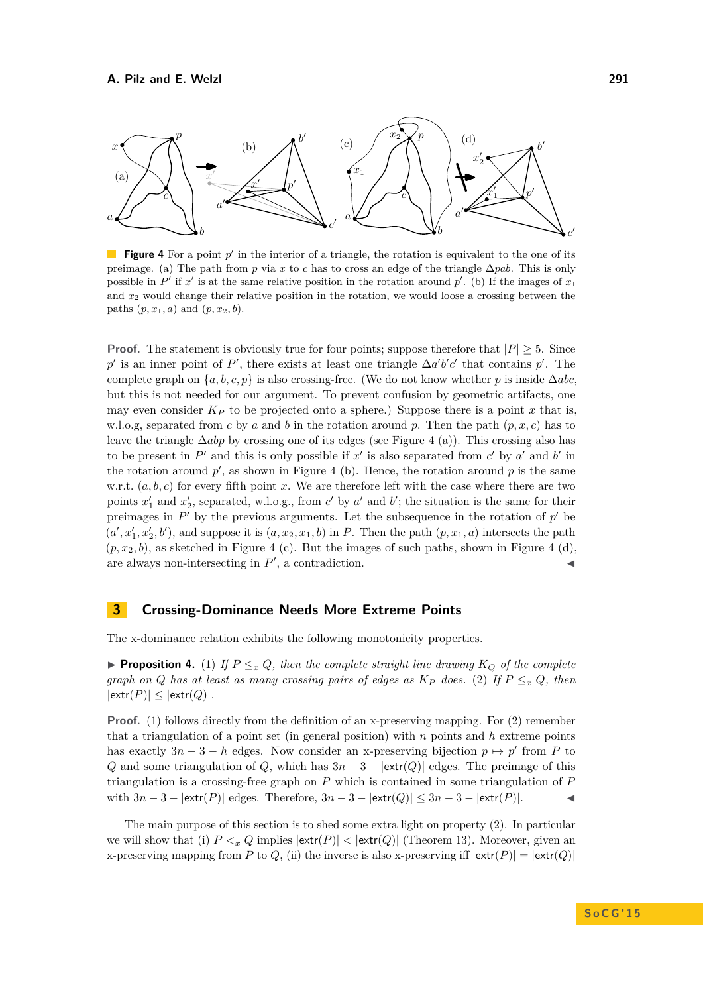<span id="page-6-0"></span>

**Figure 4** For a point  $p'$  in the interior of a triangle, the rotation is equivalent to the one of its preimage. (a) The path from *p* via *x* to *c* has to cross an edge of the triangle ∆*pab*. This is only possible in  $P'$  if  $x'$  is at the same relative position in the rotation around  $p'$ . (b) If the images of  $x_1$ and *x*<sup>2</sup> would change their relative position in the rotation, we would loose a crossing between the paths  $(p, x_1, a)$  and  $(p, x_2, b)$ .

**Proof.** The statement is obviously true for four points; suppose therefore that  $|P| > 5$ . Since *p*is an inner point of *P*<sup>'</sup>, there exists at least one triangle  $\Delta a'b'c'$  that contains *p*'. The complete graph on  $\{a, b, c, p\}$  is also crossing-free. (We do not know whether *p* is inside  $\Delta abc$ , but this is not needed for our argument. To prevent confusion by geometric artifacts, one may even consider  $K_P$  to be projected onto a sphere.) Suppose there is a point x that is, w.l.o.g, separated from *c* by *a* and *b* in the rotation around *p*. Then the path  $(p, x, c)$  has to leave the triangle ∆*abp* by crossing one of its edges (see Figure [4](#page-6-0) (a)). This crossing also has to be present in  $P'$  and this is only possible if  $x'$  is also separated from  $c'$  by  $a'$  and  $b'$  in the rotation around  $p'$ , as shown in Figure [4](#page-6-0) (b). Hence, the rotation around  $p$  is the same w.r.t.  $(a, b, c)$  for every fifth point x. We are therefore left with the case where there are two points  $x'_1$  and  $x'_2$ , separated, w.l.o.g., from  $c'$  by  $a'$  and  $b'$ ; the situation is the same for their preimages in  $P'$  by the previous arguments. Let the subsequence in the rotation of  $p'$  be  $(a', x'_1, x'_2, b')$ , and suppose it is  $(a, x_2, x_1, b)$  in *P*. Then the path  $(p, x_1, a)$  intersects the path  $(p, x<sub>2</sub>, b)$ , as sketched in Figure [4](#page-6-0) (c). But the images of such paths, shown in Figure 4 (d), are always non-intersecting in  $P'$ , a contradiction.

#### **3 Crossing-Dominance Needs More Extreme Points**

The x-dominance relation exhibits the following monotonicity properties.

<span id="page-6-1"></span>**• Proposition 4.** (1) If  $P \leq_x Q$ , then the complete straight line drawing  $K_Q$  of the complete *graph on Q has at least as many crossing pairs of edges as*  $K_P$  *does.* (2) If  $P \leq r$ , Q, then  $|\text{extr}(P)| \leq |\text{extr}(Q)|.$ 

**Proof.** (1) follows directly from the definition of an x-preserving mapping. For (2) remember that a triangulation of a point set (in general position) with *n* points and *h* extreme points has exactly  $3n - 3 - h$  edges. Now consider an x-preserving bijection  $p \mapsto p'$  from *P* to *Q* and some triangulation of *Q*, which has  $3n - 3 - |\text{extr}(Q)|$  edges. The preimage of this triangulation is a crossing-free graph on *P* which is contained in some triangulation of *P* with  $3n-3 - |\text{extr}(P)|$  edges. Therefore,  $3n-3 - |\text{extr}(Q)| \leq 3n-3 - |\text{extr}(P)|$ .

The main purpose of this section is to shed some extra light on property (2). In particular we will show that (i)  $P \leq_{x} Q$  implies  $|\text{extr}(P)| \leq |\text{extr}(Q)|$  (Theorem [13\)](#page-8-0). Moreover, given an x-preserving mapping from *P* to *Q*, (ii) the inverse is also x-preserving iff  $|\text{extr}(P)| = |\text{extr}(Q)|$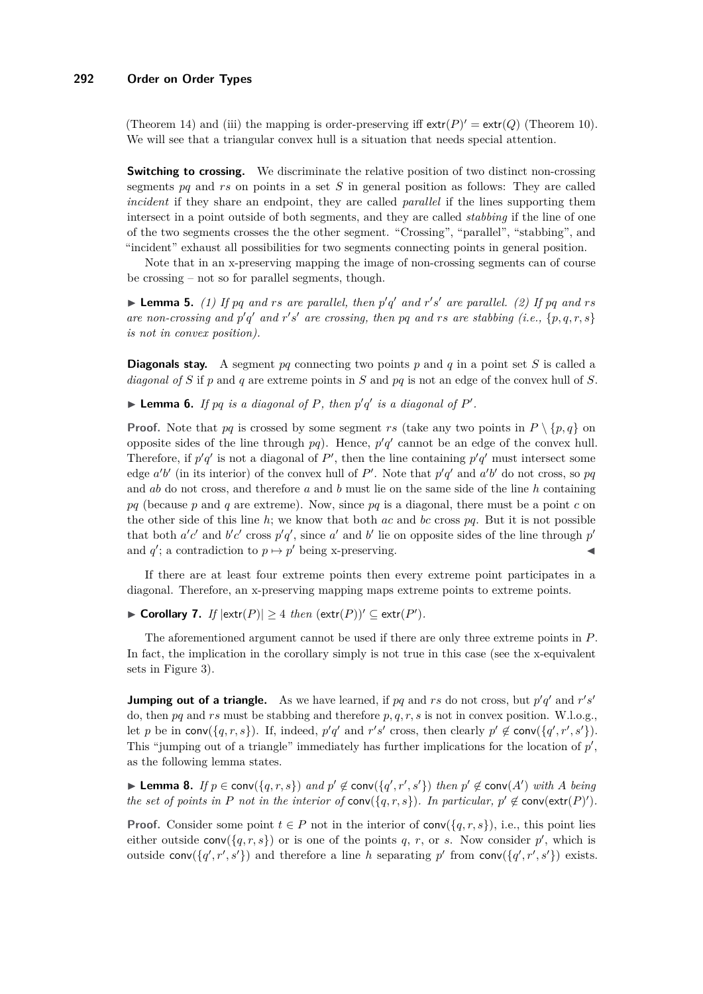(Theorem [14\)](#page-8-1) and (iii) the mapping is order-preserving iff  $ext(P)' = ext(Q)$  (Theorem [10\)](#page-8-2). We will see that a triangular convex hull is a situation that needs special attention.

**Switching to crossing.** We discriminate the relative position of two distinct non-crossing segments *pq* and *rs* on points in a set *S* in general position as follows: They are called *incident* if they share an endpoint, they are called *parallel* if the lines supporting them intersect in a point outside of both segments, and they are called *stabbing* if the line of one of the two segments crosses the the other segment. "Crossing", "parallel", "stabbing", and "incident" exhaust all possibilities for two segments connecting points in general position.

Note that in an x-preserving mapping the image of non-crossing segments can of course be crossing – not so for parallel segments, though.

**Example 1** Lemma 5. (1) If pq and rs are parallel, then  $p'q'$  and  $r's'$  are parallel. (2) If pq and rs are non-crossing and  $p'q'$  and  $r's'$  are crossing, then pq and rs are stabbing (i.e.,  $\{p,q,r,s\}$ *is not in convex position).*

**Diagonals stay.** A segment  $pq$  connecting two points  $p$  and  $q$  in a point set  $S$  is called a *diagonal of S* if *p* and *q* are extreme points in *S* and *pq* is not an edge of the convex hull of *S*.

 $\blacktriangleright$  **Lemma 6.** If pq is a diagonal of P, then  $p'q'$  is a diagonal of P'.

**Proof.** Note that *pq* is crossed by some segment *rs* (take any two points in  $P \setminus \{p,q\}$  on opposite sides of the line through  $pq$ ). Hence,  $p'q'$  cannot be an edge of the convex hull. Therefore, if  $p'q'$  is not a diagonal of P', then the line containing  $p'q'$  must intersect some edge  $a'b'$  (in its interior) of the convex hull of P'. Note that  $p'q'$  and  $a'b'$  do not cross, so pq and *ab* do not cross, and therefore *a* and *b* must lie on the same side of the line *h* containing *pq* (because *p* and *q* are extreme). Now, since *pq* is a diagonal, there must be a point *c* on the other side of this line *h*; we know that both *ac* and *bc* cross *pq*. But it is not possible that both  $a'c'$  and  $b'c'$  cross  $p'q'$ , since a' and b' lie on opposite sides of the line through  $p'$ and  $q'$ ; a contradiction to  $p \mapsto p'$  being x-preserving.

If there are at least four extreme points then every extreme point participates in a diagonal. Therefore, an x-preserving mapping maps extreme points to extreme points.

<span id="page-7-0"></span>▶ Corollary 7. If  $|\text{extr}(P)| \geq 4$  *then*  $(\text{extr}(P))' \subseteq \text{extr}(P')$ .

The aforementioned argument cannot be used if there are only three extreme points in *P*. In fact, the implication in the corollary simply is not true in this case (see the x-equivalent sets in Figure [3\)](#page-2-0).

**Jumping out of a triangle.** As we have learned, if  $pq$  and  $rs$  do not cross, but  $p'q'$  and  $r's'$ do, then *pq* and *rs* must be stabbing and therefore *p, q, r, s* is not in convex position. W.l.o.g., let *p* be in conv({q, r, s}). If, indeed,  $p'q'$  and  $r's'$  cross, then clearly  $p' \notin \text{conv}(\{q', r', s'\})$ . This "jumping out of a triangle" immediately has further implications for the location of  $p'$ , as the following lemma states.

▶ **Lemma 8.** *If*  $p \in \text{conv}(\{q, r, s\})$  *and*  $p' \notin \text{conv}(\{q', r', s'\})$  *then*  $p' \notin \text{conv}(A')$  *with A being the set of points in P not in the interior of conv* $(\lbrace q, r, s \rbrace)$ *. In particular,*  $p' \notin \text{conv}(\text{extr}(P)')$ *.* 

**Proof.** Consider some point  $t \in P$  not in the interior of conv $(\{q, r, s\})$ , i.e., this point lies either outside  $conv({q, r, s})$  or is one of the points *q, r,* or *s*. Now consider *p'*, which is outside conv( $\{q', r', s'\}$ ) and therefore a line *h* separating *p*<sup>*'*</sup> from conv( $\{q', r', s'\}$ ) exists.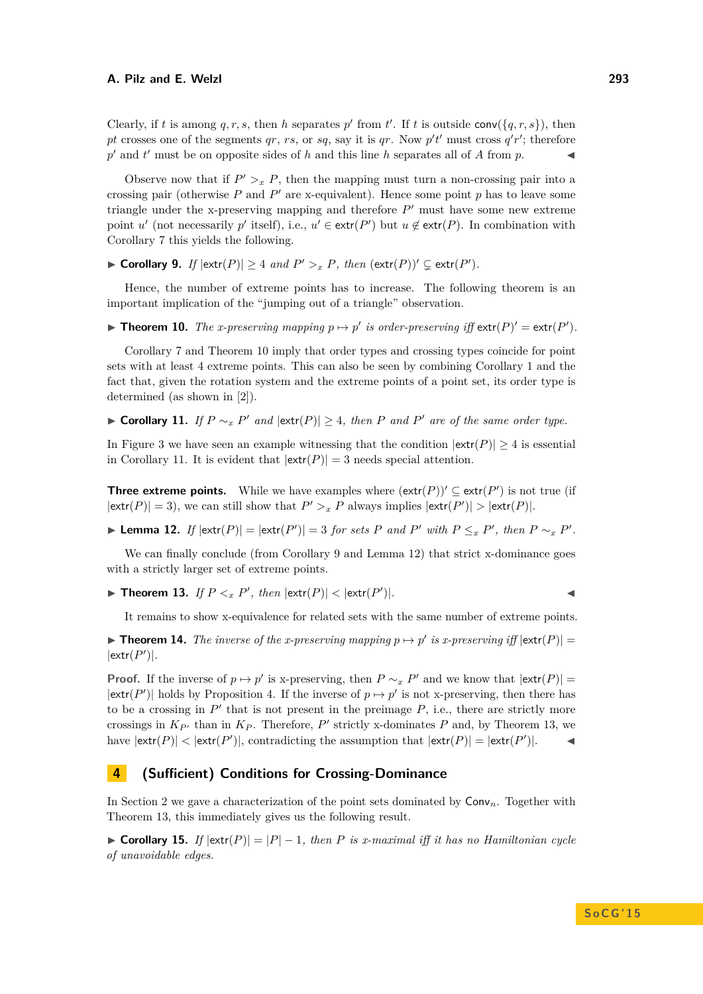Clearly, if *t* is among  $q, r, s$ , then *h* separates  $p'$  from  $t'$ . If *t* is outside conv( $\{q, r, s\}$ ), then pt crosses one of the segments  $qr$ ,  $rs$ , or  $sq$ , say it is  $qr$ . Now  $p't'$  must cross  $q'r'$ ; therefore  $p'$  and  $t'$  must be on opposite sides of *h* and this line *h* separates all of *A* from *p*.

Observe now that if  $P' > x P$ , then the mapping must turn a non-crossing pair into a crossing pair (otherwise  $P$  and  $P'$  are x-equivalent). Hence some point  $p$  has to leave some triangle under the x-preserving mapping and therefore  $P'$  must have some new extreme point *u'* (not necessarily *p'* itself), i.e.,  $u' \in \text{extr}(P')$  but  $u \notin \text{extr}(P)$ . In combination with Corollary [7](#page-7-0) this yields the following.

<span id="page-8-4"></span>▶ **Corollary 9.** *If*  $|\text{extr}(P)| \geq 4$  *and*  $P' >_{x} P$ *, then*  $(\text{extr}(P))' \subsetneq \text{extr}(P')$ *.* 

Hence, the number of extreme points has to increase. The following theorem is an important implication of the "jumping out of a triangle" observation.

<span id="page-8-2"></span>**Theorem 10.** *The x-preserving mapping*  $p \mapsto p'$  *is order-preserving iff*  $ext(P)' = ext(P')$ *.* 

Corollary [7](#page-7-0) and Theorem [10](#page-8-2) imply that order types and crossing types coincide for point sets with at least 4 extreme points. This can also be seen by combining Corollary [1](#page-4-0) and the fact that, given the rotation system and the extreme points of a point set, its order type is determined (as shown in [\[2\]](#page-14-15)).

<span id="page-8-3"></span>► **Corollary 11.** *If*  $P \sim_x P'$  *and*  $|\text{extr}(P)| \geq 4$ *, then*  $P$  *and*  $P'$  *are of the same order type.* 

In Figure [3](#page-2-0) we have seen an example witnessing that the condition  $|\text{extr}(P)| \geq 4$  is essential in Corollary [11.](#page-8-3) It is evident that  $|\text{extr}(P)| = 3$  needs special attention.

**Three extreme points.** While we have examples where  $(\text{extr}(P))' \subseteq \text{extr}(P')$  is not true (if  $|\text{extr}(P)| = 3$ , we can still show that  $P' >_{x} P$  always implies  $|\text{extr}(P')| > |\text{extr}(P)|$ .

<span id="page-8-5"></span>▶ **Lemma 12.** *If*  $|\text{extr}(P)| = |\text{extr}(P')| = 3$  *for sets P and P' with*  $P \leq_x P'$ *, then*  $P \sim_x P'$ *.* 

We can finally conclude (from Corollary [9](#page-8-4) and Lemma [12\)](#page-8-5) that strict x-dominance goes with a strictly larger set of extreme points.

<span id="page-8-0"></span> $\blacktriangleright$  **Theorem 13.** *If*  $P \leq x P'$ , *then*  $|\text{extr}(P)| \leq |\text{extr}(P')|$ )|.

It remains to show x-equivalence for related sets with the same number of extreme points.

<span id="page-8-1"></span>**Theorem 14.** *The inverse of the x-preserving mapping*  $p \mapsto p'$  *is x-preserving iff*  $|\text{extr}(P)| =$  $|\text{extr}(P')|$ .

**Proof.** If the inverse of  $p \mapsto p'$  is x-preserving, then  $P \sim_x P'$  and we know that  $|\text{extr}(P)| =$  $|\text{extr}(P')|$  holds by Proposition [4.](#page-6-1) If the inverse of  $p \mapsto p'$  is not x-preserving, then there has to be a crossing in  $P'$  that is not present in the preimage  $P$ , i.e., there are strictly more crossings in  $K_{P'}$  than in  $K_P$ . Therefore,  $P'$  strictly x-dominates  $P$  and, by Theorem [13,](#page-8-0) we have  $|\text{extr}(P)| < |\text{extr}(P')|$ , contradicting the assumption that  $|\text{extr}(P)| = |\text{extr}(P')|$ .

## <span id="page-8-6"></span>**4 (Sufficient) Conditions for Crossing-Dominance**

In Section [2](#page-5-0) we gave a characterization of the point sets dominated by Conv*n*. Together with Theorem [13,](#page-8-0) this immediately gives us the following result.

► Corollary 15. If  $|\text{extr}(P)| = |P| - 1$ , then P is x-maximal iff it has no Hamiltonian cycle *of unavoidable edges.*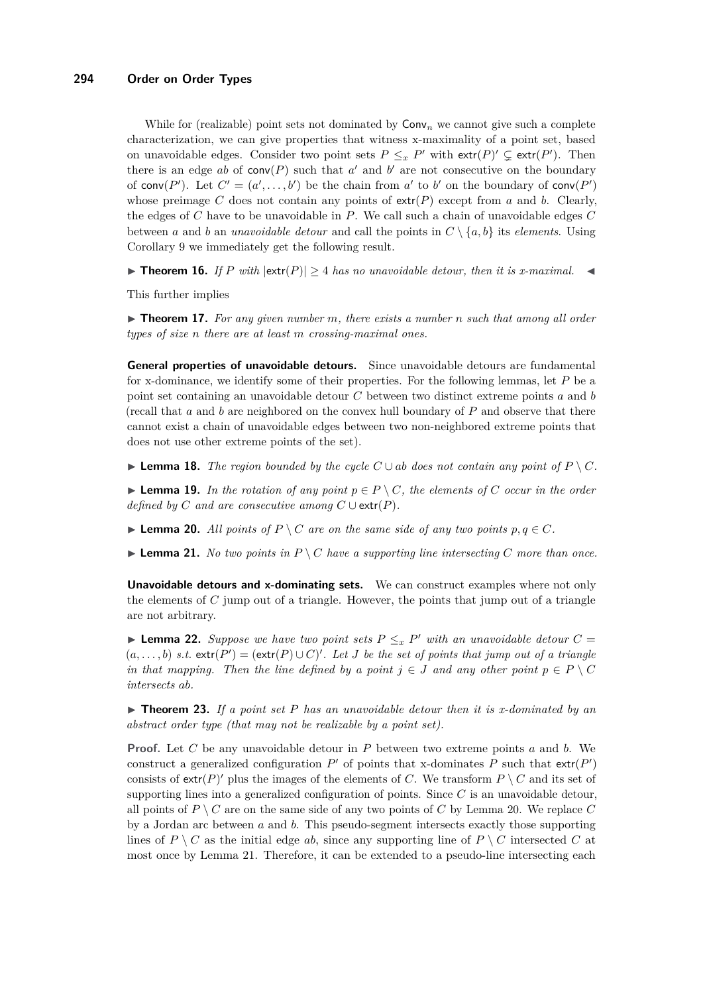While for (realizable) point sets not dominated by  $\text{Conv}_n$  we cannot give such a complete characterization, we can give properties that witness x-maximality of a point set, based on unavoidable edges. Consider two point sets  $P \leq_x P'$  with  $\text{extr}(P)' \subsetneq \text{extr}(P')$ . Then there is an edge *ab* of  $conv(P)$  such that *a'* and *b'* are not consecutive on the boundary of conv(*P'*). Let  $C' = (a', \ldots, b')$  be the chain from  $a'$  to  $b'$  on the boundary of conv(*P'*) whose preimage C does not contain any points of  $ext(P)$  except from a and b. Clearly, the edges of *C* have to be unavoidable in *P*. We call such a chain of unavoidable edges *C* between *a* and *b* an *unavoidable detour* and call the points in  $C \setminus \{a, b\}$  its *elements*. Using Corollary [9](#page-8-4) we immediately get the following result.

**► Theorem 16.** *If*  $P$  *with*  $|\text{extr}(P)| \geq 4$  *has no unavoidable detour, then it is x-maximal.* 

This further implies

▶ **Theorem 17.** For any given number *m*, there exists a number *n* such that among all order *types of size n there are at least m crossing-maximal ones.*

**General properties of unavoidable detours.** Since unavoidable detours are fundamental for x-dominance, we identify some of their properties. For the following lemmas, let *P* be a point set containing an unavoidable detour *C* between two distinct extreme points *a* and *b* (recall that *a* and *b* are neighbored on the convex hull boundary of *P* and observe that there cannot exist a chain of unavoidable edges between two non-neighbored extreme points that does not use other extreme points of the set).

► **Lemma 18.** *The region bounded by the cycle*  $C \cup ab$  *does not contain any point of*  $P \setminus C$ *.* 

**► Lemma 19.** In the rotation of any point  $p ∈ P \setminus C$ , the elements of *C* occur in the order *defined by C* and are consecutive among  $C \cup \text{extr}(P)$ *.* 

<span id="page-9-0"></span>▶ **Lemma 20.** *All points of*  $P \setminus C$  *are on the same side of any two points*  $p, q \in C$ *.* 

<span id="page-9-1"></span> $\blacktriangleright$  **Lemma 21.** *No two points in*  $P \setminus C$  *have a supporting line intersecting C more than once.* 

**Unavoidable detours and x-dominating sets.** We can construct examples where not only the elements of *C* jump out of a triangle. However, the points that jump out of a triangle are not arbitrary.

**I Lemma 22.** Suppose we have two point sets  $P \leq_x P'$  with an unavoidable detour  $C =$  $(a, \ldots, b)$  *s.t.*  $extr(P') = (extr(P) \cup C)'$ . Let *J* be the set of points that jump out of a triangle *in that mapping. Then the line defined by a point*  $j \in J$  *and any other point*  $p \in P \setminus C$ *intersects ab.*

<span id="page-9-2"></span>I **Theorem 23.** *If a point set P has an unavoidable detour then it is x-dominated by an abstract order type (that may not be realizable by a point set).*

**Proof.** Let *C* be any unavoidable detour in *P* between two extreme points *a* and *b*. We construct a generalized configuration  $P'$  of points that x-dominates  $P$  such that  $extr(P')$ consists of  $ext(P)'$  plus the images of the elements of *C*. We transform  $P \setminus C$  and its set of supporting lines into a generalized configuration of points. Since *C* is an unavoidable detour, all points of  $P \setminus C$  are on the same side of any two points of  $C$  by Lemma [20.](#page-9-0) We replace  $C$ by a Jordan arc between *a* and *b*. This pseudo-segment intersects exactly those supporting lines of  $P \setminus C$  as the initial edge *ab*, since any supporting line of  $P \setminus C$  intersected *C* at most once by Lemma [21.](#page-9-1) Therefore, it can be extended to a pseudo-line intersecting each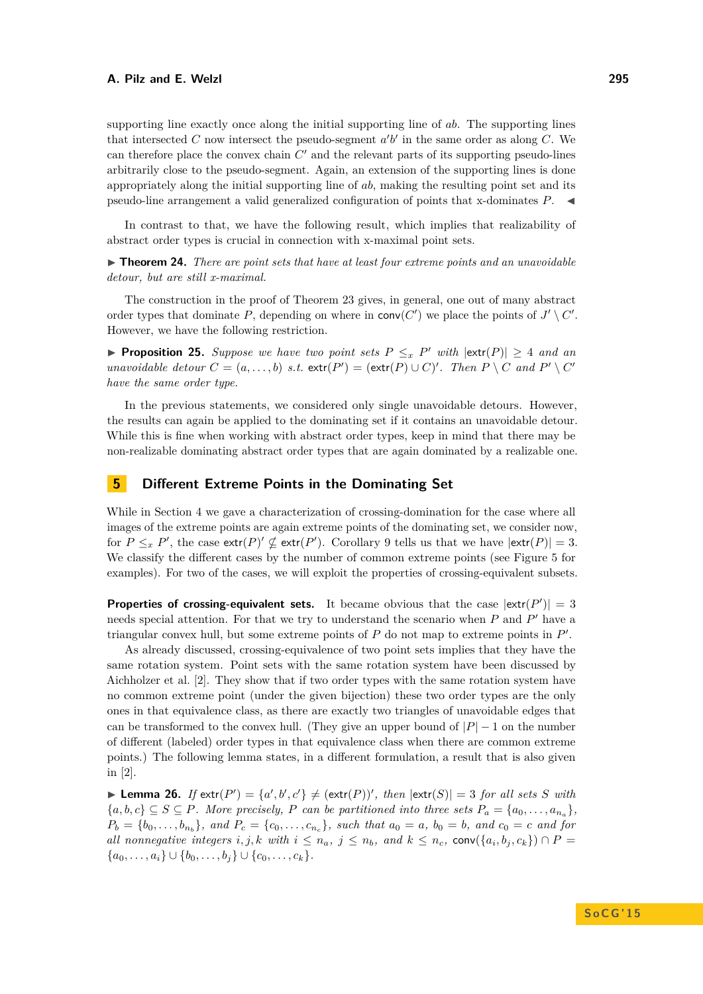supporting line exactly once along the initial supporting line of *ab*. The supporting lines that intersected  $C$  now intersect the pseudo-segment  $a'b'$  in the same order as along  $C$ . We can therefore place the convex chain  $C'$  and the relevant parts of its supporting pseudo-lines arbitrarily close to the pseudo-segment. Again, an extension of the supporting lines is done appropriately along the initial supporting line of *ab*, making the resulting point set and its pseudo-line arrangement a valid generalized configuration of points that x-dominates  $P$ .

In contrast to that, we have the following result, which implies that realizability of abstract order types is crucial in connection with x-maximal point sets.

► **Theorem 24.** *There are point sets that have at least four extreme points and an unavoidable detour, but are still x-maximal.*

The construction in the proof of Theorem [23](#page-9-2) gives, in general, one out of many abstract order types that dominate P, depending on where in  $conv(C')$  we place the points of  $J' \setminus C'$ . However, we have the following restriction.

**Proposition 25.** Suppose we have two point sets  $P \leq_x P'$  with  $|\text{extr}(P)| \geq 4$  and an *unavoidable detour*  $C = (a, \ldots, b)$  *s.t.*  $extr(P') = (extr(P) \cup C)'$ . Then  $P \setminus C$  and  $P' \setminus C'$ *have the same order type.*

In the previous statements, we considered only single unavoidable detours. However, the results can again be applied to the dominating set if it contains an unavoidable detour. While this is fine when working with abstract order types, keep in mind that there may be non-realizable dominating abstract order types that are again dominated by a realizable one.

## <span id="page-10-0"></span>**5 Different Extreme Points in the Dominating Set**

While in Section [4](#page-8-6) we gave a characterization of crossing-domination for the case where all images of the extreme points are again extreme points of the dominating set, we consider now, for  $P \leq_x P'$ , the case  $ext(P)' \nsubseteq ext(P')$ . Corollary [9](#page-8-4) tells us that we have  $|ext(P)| = 3$ . We classify the different cases by the number of common extreme points (see Figure [5](#page-11-0) for examples). For two of the cases, we will exploit the properties of crossing-equivalent subsets.

**Properties of crossing-equivalent sets.** It became obvious that the case  $|\text{extr}(P')| = 3$ needs special attention. For that we try to understand the scenario when  $P$  and  $P'$  have a triangular convex hull, but some extreme points of  $P$  do not map to extreme points in  $P'$ .

As already discussed, crossing-equivalence of two point sets implies that they have the same rotation system. Point sets with the same rotation system have been discussed by Aichholzer et al. [\[2\]](#page-14-15). They show that if two order types with the same rotation system have no common extreme point (under the given bijection) these two order types are the only ones in that equivalence class, as there are exactly two triangles of unavoidable edges that can be transformed to the convex hull. (They give an upper bound of  $|P| - 1$  on the number of different (labeled) order types in that equivalence class when there are common extreme points.) The following lemma states, in a different formulation, a result that is also given in [\[2\]](#page-14-15).

<span id="page-10-1"></span>**Example 10.** *If* extr(*P'*) =  $\{a', b', c'\} \neq (\text{extr}(P))'$ , then  $|\text{extr}(S)| = 3$  *for all sets S with*  ${a,b,c} \subseteq S \subseteq P$ *. More precisely, P can be partitioned into three sets*  $P_a = {a_0, \ldots, a_{n_a}}$ ,  $P_b = \{b_0, \ldots, b_{n_b}\},$  and  $P_c = \{c_0, \ldots, c_{n_c}\},$  such that  $a_0 = a, b_0 = b,$  and  $c_0 = c$  and for all nonnegative integers  $i, j, k$  with  $i \leq n_a, j \leq n_b$ , and  $k \leq n_c$ , conv $(\{a_i, b_j, c_k\}) \cap P =$  ${a_0, \ldots, a_i} \cup {b_0, \ldots, b_j} \cup {c_0, \ldots, c_k}.$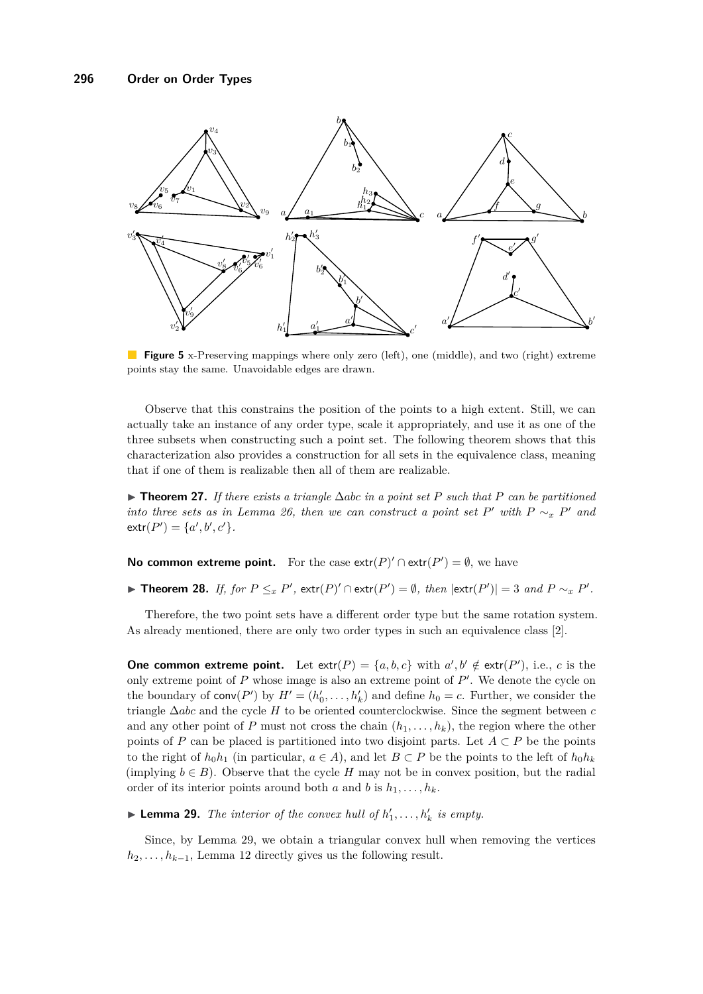<span id="page-11-0"></span>

**Figure 5** x-Preserving mappings where only zero (left), one (middle), and two (right) extreme points stay the same. Unavoidable edges are drawn.

Observe that this constrains the position of the points to a high extent. Still, we can actually take an instance of any order type, scale it appropriately, and use it as one of the three subsets when constructing such a point set. The following theorem shows that this characterization also provides a construction for all sets in the equivalence class, meaning that if one of them is realizable then all of them are realizable.

I **Theorem 27.** *If there exists a triangle* ∆*abc in a point set P such that P can be partitioned into three sets as in Lemma [26,](#page-10-1) then we can construct a point set*  $P'$  *with*  $P \sim_x P'$  *and*  $extr(P') = \{a', b', c'\}.$ 

**No common extreme point.** For the case  $ext{c}(P)' \cap ext{c}(P') = \emptyset$ , we have

▶ **Theorem 28.** *If, for*  $P \leq_x P'$ ,  $ext(P)' \cap ext(P') = \emptyset$ , then  $|ext(P')| = 3$  and  $P \sim_x P'$ .

Therefore, the two point sets have a different order type but the same rotation system. As already mentioned, there are only two order types in such an equivalence class [\[2\]](#page-14-15).

**One common extreme point.** Let  $ext(P) = \{a, b, c\}$  with  $a', b' \notin ext(P')$ , i.e., *c* is the only extreme point of  $P$  whose image is also an extreme point of  $P'$ . We denote the cycle on the boundary of  $conv(P')$  by  $H' = (h'_0, \ldots, h'_k)$  and define  $h_0 = c$ . Further, we consider the triangle ∆*abc* and the cycle *H* to be oriented counterclockwise. Since the segment between *c* and any other point of *P* must not cross the chain  $(h_1, \ldots, h_k)$ , the region where the other points of *P* can be placed is partitioned into two disjoint parts. Let  $A \subset P$  be the points to the right of  $h_0h_1$  (in particular,  $a \in A$ ), and let  $B \subset P$  be the points to the left of  $h_0h_k$ (implying  $b \in B$ ). Observe that the cycle *H* may not be in convex position, but the radial order of its interior points around both *a* and *b* is  $h_1, \ldots, h_k$ .

<span id="page-11-1"></span>**Example 10.** The interior of the convex hull of  $h'_1, \ldots, h'_k$  is empty.

Since, by Lemma [29,](#page-11-1) we obtain a triangular convex hull when removing the vertices *h*<sub>2</sub>*,...*, *h*<sub>*k*−1</sub>*,* Lemma [12](#page-8-5) directly gives us the following result.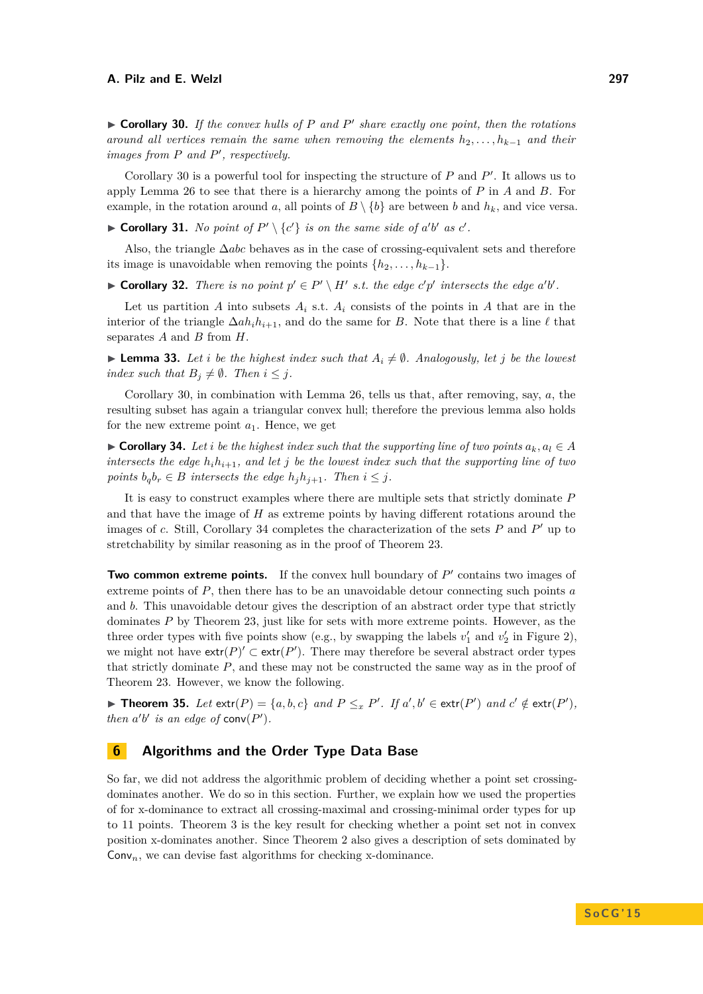<span id="page-12-0"></span>▶ Corollary 30. If the convex hulls of P and P' share exactly one point, then the rotations *around all vertices remain the same when removing the elements*  $h_2, \ldots, h_{k-1}$  *and their images from P* and *P*<sup>'</sup>, respectively.

Corollary [30](#page-12-0) is a powerful tool for inspecting the structure of  $P$  and  $P'$ . It allows us to apply Lemma [26](#page-10-1) to see that there is a hierarchy among the points of *P* in *A* and *B*. For example, in the rotation around *a*, all points of  $B \setminus \{b\}$  are between *b* and  $h_k$ , and vice versa.

**Corollary 31.** *No point of*  $P' \setminus \{c'\}$  *is on the same side of*  $a'b'$  *as*  $c'$ *.* 

Also, the triangle ∆*abc* behaves as in the case of crossing-equivalent sets and therefore its image is unavoidable when removing the points  $\{h_2, \ldots, h_{k-1}\}.$ 

▶ **Corollary 32.** *There is no point*  $p' \in P' \setminus H'$  *s.t. the edge*  $c'p'$  *intersects the edge*  $a'b'$ *.* 

Let us partition *A* into subsets  $A_i$  s.t.  $A_i$  consists of the points in *A* that are in the interior of the triangle  $\Delta ah_i h_{i+1}$ , and do the same for *B*. Note that there is a line  $\ell$  that separates *A* and *B* from *H*.

▶ **Lemma 33.** Let *i* be the highest index such that  $A_i \neq \emptyset$ . Analogously, let *j* be the lowest *index such that*  $B_j \neq \emptyset$ *. Then*  $i \leq j$ *.* 

Corollary [30,](#page-12-0) in combination with Lemma [26,](#page-10-1) tells us that, after removing, say, *a*, the resulting subset has again a triangular convex hull; therefore the previous lemma also holds for the new extreme point  $a_1$ . Hence, we get

<span id="page-12-1"></span>► **Corollary 34.** Let *i* be the highest index such that the supporting line of two points  $a_k, a_l \in A$ *intersects the edge*  $h_i h_{i+1}$ *, and let j be the lowest index such that the supporting line of two points*  $b_qb_r \in B$  *intersects the edge*  $h_jh_{j+1}$ *. Then*  $i \leq j$ *.* 

It is easy to construct examples where there are multiple sets that strictly dominate *P* and that have the image of *H* as extreme points by having different rotations around the images of *c*. Still, Corollary [34](#page-12-1) completes the characterization of the sets  $P$  and  $P'$  up to stretchability by similar reasoning as in the proof of Theorem [23.](#page-9-2)

**Two common extreme points.** If the convex hull boundary of  $P'$  contains two images of extreme points of *P*, then there has to be an unavoidable detour connecting such points *a* and *b*. This unavoidable detour gives the description of an abstract order type that strictly dominates *P* by Theorem [23,](#page-9-2) just like for sets with more extreme points. However, as the three order types with five points show (e.g., by swapping the labels  $v'_1$  and  $v'_2$  in Figure [2\)](#page-1-1), we might not have  $ext(P)' \subset ext(P')$ . There may therefore be several abstract order types that strictly dominate *P*, and these may not be constructed the same way as in the proof of Theorem [23.](#page-9-2) However, we know the following.

▶ **Theorem 35.** Let  $ext(P) = \{a, b, c\}$  and  $P \leq_x P'$ . If  $a', b' \in ext(P')$  and  $c' \notin ext(P')$ , *then*  $a'b'$  *is an edge of* conv $(P')$ *.* 

#### **6 Algorithms and the Order Type Data Base**

So far, we did not address the algorithmic problem of deciding whether a point set crossingdominates another. We do so in this section. Further, we explain how we used the properties of for x-dominance to extract all crossing-maximal and crossing-minimal order types for up to 11 points. Theorem [3](#page-5-1) is the key result for checking whether a point set not in convex position x-dominates another. Since Theorem [2](#page-5-2) also gives a description of sets dominated by  $Conv_n$ , we can devise fast algorithms for checking x-dominance.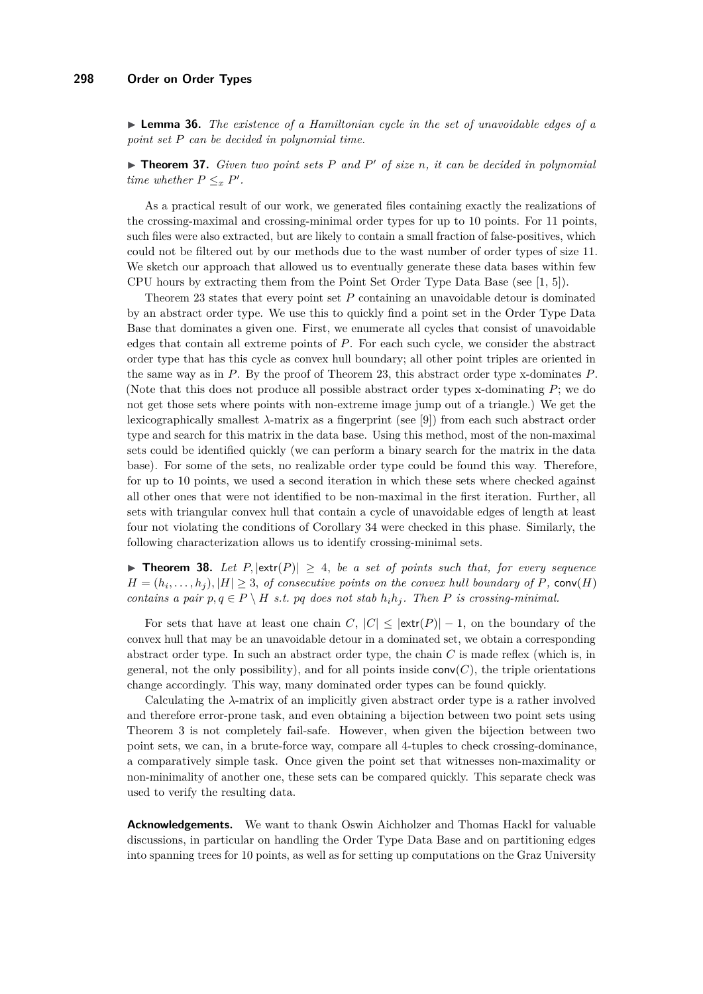I **Lemma 36.** *The existence of a Hamiltonian cycle in the set of unavoidable edges of a point set P can be decided in polynomial time.*

▶ **Theorem 37.** *Given two point sets P and P*<sup>*'*</sup> *of size n, it can be decided in polynomial time whether*  $P \leq_x P'$ *.* 

As a practical result of our work, we generated files containing exactly the realizations of the crossing-maximal and crossing-minimal order types for up to 10 points. For 11 points, such files were also extracted, but are likely to contain a small fraction of false-positives, which could not be filtered out by our methods due to the wast number of order types of size 11. We sketch our approach that allowed us to eventually generate these data bases within few CPU hours by extracting them from the Point Set Order Type Data Base (see [\[1,](#page-14-3) [5\]](#page-14-4)).

Theorem [23](#page-9-2) states that every point set *P* containing an unavoidable detour is dominated by an abstract order type. We use this to quickly find a point set in the Order Type Data Base that dominates a given one. First, we enumerate all cycles that consist of unavoidable edges that contain all extreme points of *P*. For each such cycle, we consider the abstract order type that has this cycle as convex hull boundary; all other point triples are oriented in the same way as in *P*. By the proof of Theorem [23,](#page-9-2) this abstract order type x-dominates *P*. (Note that this does not produce all possible abstract order types x-dominating *P*; we do not get those sets where points with non-extreme image jump out of a triangle.) We get the lexicographically smallest  $\lambda$ -matrix as a fingerprint (see [\[9\]](#page-14-8)) from each such abstract order type and search for this matrix in the data base. Using this method, most of the non-maximal sets could be identified quickly (we can perform a binary search for the matrix in the data base). For some of the sets, no realizable order type could be found this way. Therefore, for up to 10 points, we used a second iteration in which these sets where checked against all other ones that were not identified to be non-maximal in the first iteration. Further, all sets with triangular convex hull that contain a cycle of unavoidable edges of length at least four not violating the conditions of Corollary [34](#page-12-1) were checked in this phase. Similarly, the following characterization allows us to identify crossing-minimal sets.

**Theorem 38.** Let  $P$ ,  $|ext(P)| \geq 4$ , *be a set of points such that, for every sequence*  $H = (h_i, \ldots, h_j), |H| \geq 3$ , of consecutive points on the convex hull boundary of P, conv(*H*) *contains a pair*  $p, q \in P \setminus H$  *s.t.*  $pq$  *does not stab*  $h_i h_j$ *. Then P is crossing-minimal.* 

For sets that have at least one chain *C*,  $|C| \leq |\text{extr}(P)| - 1$ , on the boundary of the convex hull that may be an unavoidable detour in a dominated set, we obtain a corresponding abstract order type. In such an abstract order type, the chain *C* is made reflex (which is, in general, not the only possibility), and for all points inside  $conv(C)$ , the triple orientations change accordingly. This way, many dominated order types can be found quickly.

Calculating the *λ*-matrix of an implicitly given abstract order type is a rather involved and therefore error-prone task, and even obtaining a bijection between two point sets using Theorem [3](#page-5-1) is not completely fail-safe. However, when given the bijection between two point sets, we can, in a brute-force way, compare all 4-tuples to check crossing-dominance, a comparatively simple task. Once given the point set that witnesses non-maximality or non-minimality of another one, these sets can be compared quickly. This separate check was used to verify the resulting data.

**Acknowledgements.** We want to thank Oswin Aichholzer and Thomas Hackl for valuable discussions, in particular on handling the Order Type Data Base and on partitioning edges into spanning trees for 10 points, as well as for setting up computations on the Graz University